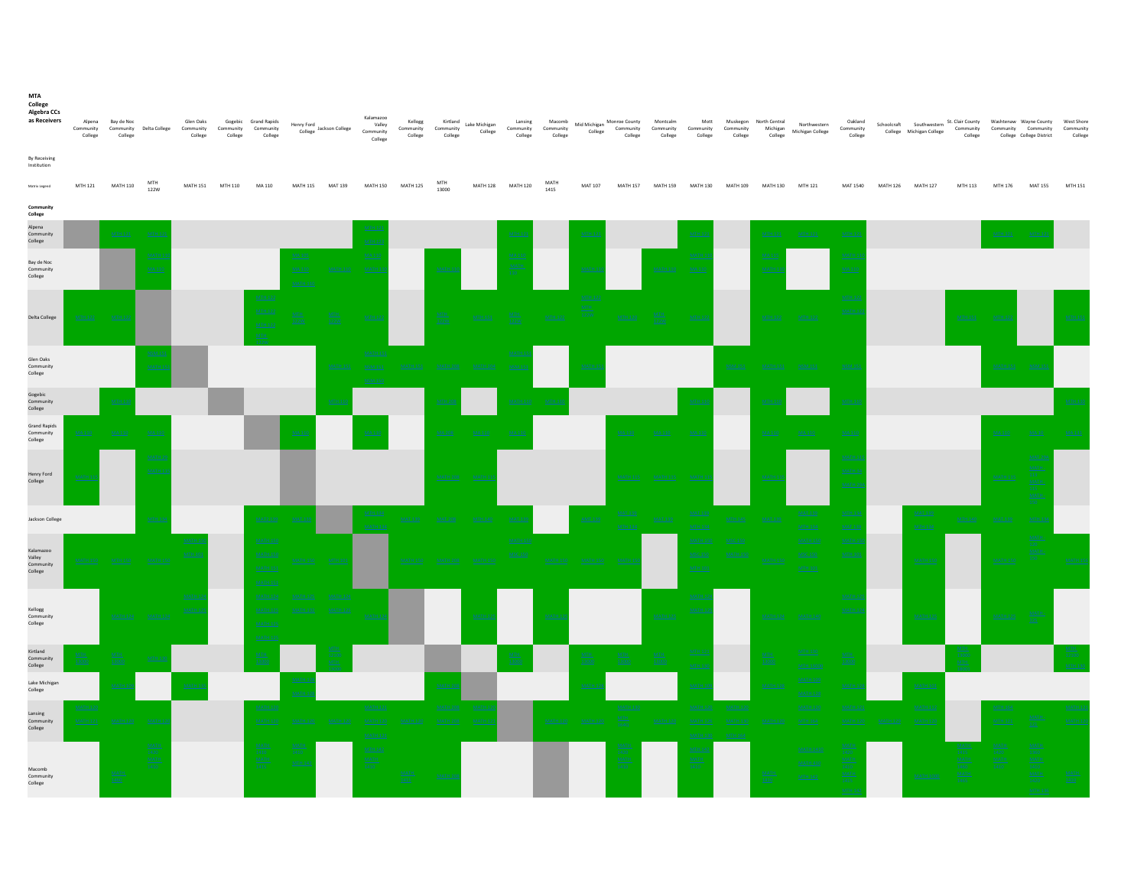| MTA<br>College<br>Algebra CCs<br>as Receivers | Alpena<br>$_{\rm College}$ | Bay de Noc<br>College | Community Community Delta College | Glen Oaks<br>Community<br>College | Community<br>College | Gogebic Grand Rapids<br>Community<br>College | Henry Ford<br>College      | Jackson College | Kalamazoo<br>Valley<br>Community<br>College | Kellogg<br>Community Community<br>College | Kirtland<br>$_{\rm College}$ | Lake Michigan<br>College | Lansing<br>College | Macomb<br>Community Community<br>College | Mid Michigan<br>College | Monroe County<br>Community<br>College | Montcalm<br>Community<br>College | Mott<br>Community<br>College        | Muskegon<br>Community<br>College | North Central<br>College | Northwestern<br>Michigan Michigan College | Oakland<br>Community<br>College |                 | Schoolcraft Southwestern St. Clair County<br>College Michigan College | College | Washtenaw Wayne County<br>Community Community | College College District | West Shore<br>Community<br>College |
|-----------------------------------------------|----------------------------|-----------------------|-----------------------------------|-----------------------------------|----------------------|----------------------------------------------|----------------------------|-----------------|---------------------------------------------|-------------------------------------------|------------------------------|--------------------------|--------------------|------------------------------------------|-------------------------|---------------------------------------|----------------------------------|-------------------------------------|----------------------------------|--------------------------|-------------------------------------------|---------------------------------|-----------------|-----------------------------------------------------------------------|---------|-----------------------------------------------|--------------------------|------------------------------------|
| By Receiving<br>Institution                   |                            |                       | MTH                               |                                   |                      |                                              |                            |                 |                                             |                                           | MTH                          |                          |                    | MATH                                     |                         |                                       |                                  |                                     |                                  |                          |                                           |                                 |                 |                                                                       |         |                                               |                          |                                    |
| Matrix Legend<br>Community                    | MTH 121                    | <b>MATH 110</b>       | 122W                              | <b>MATH 151</b>                   | MTH 110              | MA 110                                       | <b>MATH 115</b>            | <b>MAT 139</b>  | <b>MATH 150</b>                             | <b>MATH 125</b>                           | 13000                        |                          | MATH 128 MATH 120  | 1415                                     | MAT 107                 |                                       | MATH 157 MATH 159                | MATH 130 MATH 109                   |                                  | <b>MATH 130</b>          | MTH 121                                   | MAT 1540                        | <b>MATH 126</b> | <b>MATH 127</b>                                                       | MTH 113 | MTH 176                                       | <b>MAT 155</b>           | MTH 151                            |
| College<br>Alpena                             |                            |                       |                                   |                                   |                      |                                              |                            |                 |                                             |                                           |                              |                          |                    |                                          |                         |                                       |                                  |                                     |                                  |                          |                                           |                                 |                 |                                                                       |         |                                               |                          |                                    |
| Community<br>College                          |                            | MTH 121               |                                   |                                   |                      |                                              |                            |                 |                                             |                                           |                              |                          |                    |                                          |                         |                                       |                                  |                                     |                                  | <b>MTH 121</b>           | MTH 121                                   |                                 |                 |                                                                       |         |                                               |                          |                                    |
| Bay de Noc<br>Community<br>College            |                            |                       | MA11                              |                                   |                      |                                              | MA 105<br><b>MA 11</b>     |                 | MA11                                        |                                           | MATH.                        |                          | MATB               |                                          | <b>MATH</b>             |                                       | <b>MATH 110</b>                  | MATH<br>MA11                        |                                  |                          |                                           | MAT<br>MA11                     |                 |                                                                       |         |                                               |                          |                                    |
| Delta College                                 |                            |                       |                                   |                                   |                      |                                              |                            |                 |                                             |                                           |                              |                          |                    |                                          |                         |                                       |                                  |                                     |                                  |                          |                                           | MTH                             |                 |                                                                       |         |                                               |                          |                                    |
| Glen Oaks<br>Community<br>College             |                            |                       | NSM1<br><b>MATH</b>               |                                   |                      |                                              |                            | <b>MATH 151</b> |                                             |                                           |                              |                          | NSM <sub>3</sub>   |                                          | MATH                    |                                       |                                  |                                     |                                  |                          |                                           | NSM:                            |                 |                                                                       |         | <b>MATH 151</b>                               | <b>NSM</b>               |                                    |
| Gogebic<br>Community<br>College               |                            |                       |                                   |                                   |                      |                                              |                            | MTH             |                                             |                                           |                              |                          | MATH <sub>3</sub>  |                                          |                         |                                       |                                  |                                     |                                  |                          |                                           | MTH 13                          |                 |                                                                       |         |                                               |                          |                                    |
| <b>Grand Rapids</b><br>Community<br>College   |                            |                       | MA <sub>1</sub>                   |                                   |                      |                                              | MA11                       |                 |                                             |                                           |                              |                          |                    |                                          |                         |                                       |                                  |                                     |                                  |                          |                                           | MA1                             |                 |                                                                       |         |                                               | MA10                     |                                    |
| Henry Ford<br>College                         | MATH                       |                       | <b>MATH</b><br>MATH               |                                   |                      |                                              |                            |                 |                                             |                                           |                              | MATH.                    |                    |                                          |                         |                                       |                                  |                                     |                                  | <b>MATH</b>              |                                           | MAT<br>MATH<br><b>MATE</b>      |                 |                                                                       |         |                                               |                          |                                    |
| <b>Jackson College</b>                        |                            |                       |                                   |                                   |                      | <b>MAT2 139</b>                              |                            |                 |                                             | <b>MAT 139</b>                            |                              |                          |                    |                                          | <b>AMT 139</b>          | <b>MTH 13</b>                         |                                  |                                     | <b>MTH 145</b>                   | <b>MAT 139</b>           | <b>MAT 13</b>                             | MTH                             |                 | MTH 134                                                               |         |                                               |                          |                                    |
| Kalamazoo<br>Valley<br>Community<br>College   | <u>MATH 15</u>             |                       |                                   |                                   |                      | MATH 15                                      |                            | MTH10           |                                             | <b>MATH 150</b>                           |                              |                          | MATH <sub>1</sub>  |                                          |                         |                                       |                                  |                                     |                                  |                          | MTH 1                                     |                                 |                 | MATH 15                                                               |         |                                               |                          |                                    |
| Kellogg<br>Community<br>College               |                            |                       |                                   | MATH                              |                      | MATH <sub>12</sub><br><b>MATH</b>            |                            |                 |                                             |                                           |                              | MATH.                    |                    | MATH.                                    |                         |                                       | <b>MATH 12</b>                   |                                     |                                  |                          |                                           | MAT<br>MAT                      |                 | MATH 125                                                              |         | <b>MATH 125</b>                               | $\frac{\text{MAT}}{125}$ |                                    |
| Kirtland<br>Community<br>College              |                            |                       |                                   |                                   |                      |                                              |                            |                 |                                             |                                           |                              |                          |                    |                                          | 1300                    | 13000                                 | $\frac{\text{MTH}}{13000}$       | MTH <sub>1</sub>                    |                                  |                          |                                           | MTH                             |                 |                                                                       |         |                                               |                          |                                    |
| Lake Michigar<br>College                      |                            |                       |                                   |                                   |                      |                                              |                            |                 |                                             |                                           | MAT                          |                          |                    |                                          |                         |                                       |                                  | <b>MATH</b>                         |                                  |                          |                                           |                                 |                 | <b>MATH 10</b>                                                        |         |                                               |                          |                                    |
| Lansing<br>Community<br>College               | MATH 12                    |                       |                                   |                                   |                      |                                              |                            |                 | <b>MATH 1</b>                               |                                           | MATH 20                      | <b>MATH</b>              |                    | <b>MATH 120</b>                          | <b>MATH 120</b>         | <b>MATH 130</b>                       | MATH 12                          | MATH 1<br>MATH <sub>1</sub><br>MATH |                                  |                          | MATH <sub>12</sub>                        |                                 |                 | <b>MATH 11</b><br><b>MATH 120</b>                                     |         |                                               |                          |                                    |
| Communit<br>College                           |                            |                       |                                   |                                   |                      |                                              | <b>MAT</b><br>1410<br>MTH. |                 |                                             |                                           |                              |                          |                    |                                          |                         |                                       |                                  |                                     |                                  |                          |                                           |                                 |                 |                                                                       |         |                                               |                          |                                    |